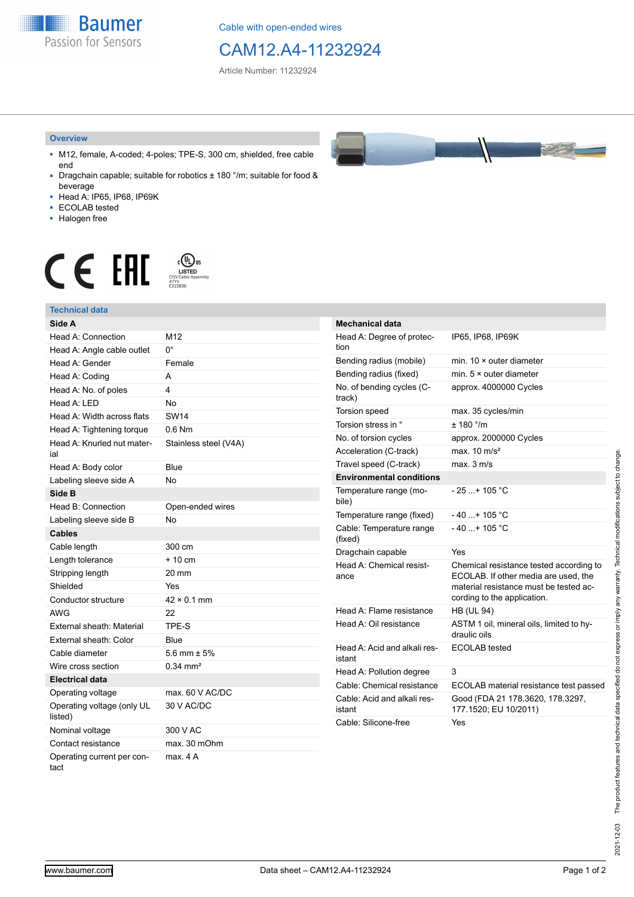**Baumer** Passion for Sensors

Cable with open-ended wires

## CAM12.A4-11232924

Article Number: 11232924

#### **Overview**

- M12, female, A-coded; 4-poles; TPE-S, 300 cm, shielded, free cable end
- Dragchain capable; suitable for robotics ± 180 °/m; suitable for food & beverage
- Head A: IP65, IP68, IP69K
- ECOLAB tested
- Halogen free

# $\displaystyle \mathop{\mathsf{C}}\limits_{\substack{\mathsf{C} \text{YJV Cable Asser}\ \text{47YY} \ \text{47YY}}} \mathop{\mathsf{LISTED}}\limits_{\substack{\mathsf{C} \text{47YY} \ \text{E}315836}}$ **CE EAL**

### **Technical data**

| Side A                                |                        |
|---------------------------------------|------------------------|
| Head A: Connection                    | M12                    |
| Head A: Angle cable outlet            | 0°                     |
| Head A: Gender                        | Female                 |
| Head A: Coding                        | А                      |
| Head A: No. of poles                  | 4                      |
| Head A: LED                           | No                     |
| Head A: Width across flats            | <b>SW14</b>            |
| Head A: Tightening torque             | $0.6$ Nm               |
| Head A: Knurled nut mater-<br>ial     | Stainless steel (V4A)  |
| Head A: Body color                    | Blue                   |
| Labeling sleeve side A                | No                     |
| Side B                                |                        |
| Head B: Connection                    | Open-ended wires       |
| Labeling sleeve side B                | No                     |
| <b>Cables</b>                         |                        |
| Cable length                          | 300 cm                 |
| Length tolerance                      | + 10 cm                |
| Stripping length                      | 20 mm                  |
| Shielded                              | Yes                    |
| Conductor structure                   | $42 \times 0.1$ mm     |
| <b>AWG</b>                            | 22                     |
| External sheath: Material             | TPE-S                  |
| External sheath: Color                | Blue                   |
| Cable diameter                        | 5.6 mm $\pm$ 5%        |
| Wire cross section                    | $0.34$ mm <sup>2</sup> |
| <b>Electrical data</b>                |                        |
| Operating voltage                     | max. 60 V AC/DC        |
| Operating voltage (only UL<br>listed) | 30 V AC/DC             |
| Nominal voltage                       | 300 V AC               |
| Contact resistance                    | max. 30 mOhm           |
| Operating current per con-<br>tact    | max 4 A                |



| <b>Mechanical data</b>                 |                                                                                                                                                          |
|----------------------------------------|----------------------------------------------------------------------------------------------------------------------------------------------------------|
| Head A: Degree of protec-<br>tion      | IP65, IP68, IP69K                                                                                                                                        |
| Bending radius (mobile)                | min. 10 × outer diameter                                                                                                                                 |
| Bending radius (fixed)                 | min. $5 \times$ outer diameter                                                                                                                           |
| No. of bending cycles (C-<br>track)    | approx. 4000000 Cycles                                                                                                                                   |
| <b>Torsion speed</b>                   | max. 35 cycles/min                                                                                                                                       |
| Torsion stress in °                    | $+ 180$ $^{\circ}$ /m                                                                                                                                    |
| No. of torsion cycles                  | approx. 2000000 Cycles                                                                                                                                   |
| Acceleration (C-track)                 | max. $10 \text{ m/s}^2$                                                                                                                                  |
| Travel speed (C-track)                 | max. 3 m/s                                                                                                                                               |
| <b>Environmental conditions</b>        |                                                                                                                                                          |
| Temperature range (mo-<br>bile)        | - 25 + 105 °C                                                                                                                                            |
| Temperature range (fixed)              | $-40+105 °C$                                                                                                                                             |
| Cable: Temperature range<br>(fixed)    | $-40+105 °C$                                                                                                                                             |
| Dragchain capable                      | Yes                                                                                                                                                      |
| Head A: Chemical resist-<br>ance       | Chemical resistance tested according to<br>ECOLAB. If other media are used, the<br>material resistance must be tested ac-<br>cording to the application. |
| Head A: Flame resistance               | <b>HB (UL 94)</b>                                                                                                                                        |
| Head A: Oil resistance                 | ASTM 1 oil, mineral oils, limited to hy-<br>draulic oils                                                                                                 |
| Head A: Acid and alkali res-<br>istant | ECOLAB tested                                                                                                                                            |
| Head A: Pollution degree               | 3                                                                                                                                                        |
| Cable: Chemical resistance             | ECOLAB material resistance test passed                                                                                                                   |
| Cable: Acid and alkali res-<br>istant  | Good (FDA 21 178.3620, 178.3297,<br>177.1520; EU 10/2011)                                                                                                |
| Cable: Silicone-free                   | Yes                                                                                                                                                      |